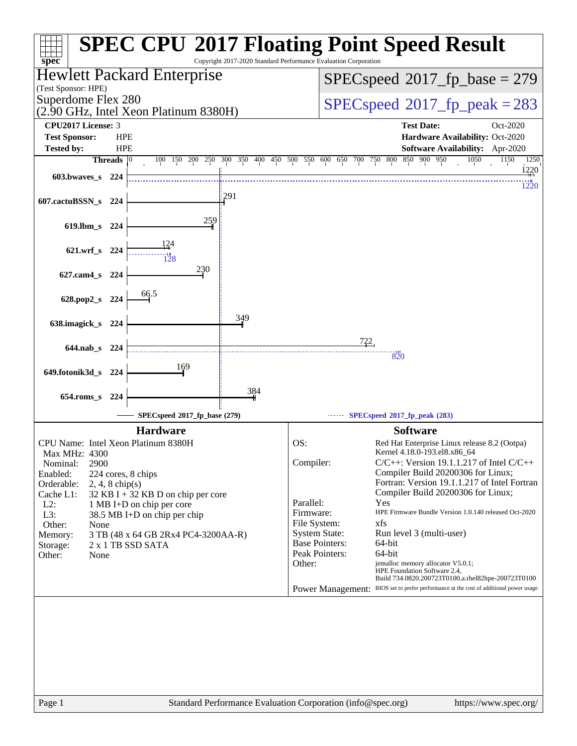| <b>SPEC CPU®2017 Floating Point Speed Result</b><br>Copyright 2017-2020 Standard Performance Evaluation Corporation<br>$spec^*$ |                              |                                                                   |                                          |                                         |                        |                                                                                                                            |  |
|---------------------------------------------------------------------------------------------------------------------------------|------------------------------|-------------------------------------------------------------------|------------------------------------------|-----------------------------------------|------------------------|----------------------------------------------------------------------------------------------------------------------------|--|
|                                                                                                                                 |                              | <b>Hewlett Packard Enterprise</b>                                 | $SPEC speed^{\circ}2017\_fp\_base = 279$ |                                         |                        |                                                                                                                            |  |
| (Test Sponsor: HPE)                                                                                                             |                              |                                                                   |                                          |                                         |                        |                                                                                                                            |  |
| Superdome Flex 280                                                                                                              |                              | (2.90 GHz, Intel Xeon Platinum 8380H)                             |                                          | $SPEC speed^{\circ}2017$ fp peak = 283  |                        |                                                                                                                            |  |
| CPU2017 License: 3                                                                                                              |                              |                                                                   |                                          |                                         |                        | <b>Test Date:</b><br>Oct-2020                                                                                              |  |
| <b>Test Sponsor:</b>                                                                                                            | <b>HPE</b>                   |                                                                   |                                          |                                         |                        | Hardware Availability: Oct-2020                                                                                            |  |
| <b>Tested by:</b>                                                                                                               | <b>HPE</b><br><b>Threads</b> | 150<br>200<br>250<br>$\overline{0}$<br>100                        | 300 350<br>400                           | 450 500 550                             | 600<br>650 700 750 800 | Software Availability: Apr-2020<br>850<br>900 950<br>1050<br>1150<br>1250                                                  |  |
|                                                                                                                                 |                              |                                                                   |                                          |                                         |                        | 1220                                                                                                                       |  |
| 603.bwaves_s 224                                                                                                                |                              |                                                                   |                                          |                                         |                        | 1220                                                                                                                       |  |
| 607.cactuBSSN_s                                                                                                                 | 224                          |                                                                   | 291                                      |                                         |                        |                                                                                                                            |  |
|                                                                                                                                 |                              |                                                                   |                                          |                                         |                        |                                                                                                                            |  |
| 619.lbm_s 224                                                                                                                   |                              | 259                                                               |                                          |                                         |                        |                                                                                                                            |  |
|                                                                                                                                 |                              | 124                                                               |                                          |                                         |                        |                                                                                                                            |  |
| 621.wrf_s 224                                                                                                                   |                              | 128                                                               |                                          |                                         |                        |                                                                                                                            |  |
|                                                                                                                                 |                              | 230                                                               |                                          |                                         |                        |                                                                                                                            |  |
| 627.cam4_s 224                                                                                                                  |                              |                                                                   |                                          |                                         |                        |                                                                                                                            |  |
| 628.pop2_s 224                                                                                                                  |                              | 66.5                                                              |                                          |                                         |                        |                                                                                                                            |  |
|                                                                                                                                 |                              |                                                                   |                                          |                                         |                        |                                                                                                                            |  |
| 638.imagick_s 224                                                                                                               |                              |                                                                   | 349                                      |                                         |                        |                                                                                                                            |  |
|                                                                                                                                 |                              |                                                                   |                                          |                                         |                        |                                                                                                                            |  |
| 644.nab s 224                                                                                                                   |                              |                                                                   |                                          |                                         | 722                    | 820                                                                                                                        |  |
|                                                                                                                                 |                              | 169                                                               |                                          |                                         |                        |                                                                                                                            |  |
| 649.fotonik3d_s                                                                                                                 | - 224                        |                                                                   |                                          |                                         |                        |                                                                                                                            |  |
| 654.roms s 224                                                                                                                  |                              |                                                                   | 384                                      |                                         |                        |                                                                                                                            |  |
|                                                                                                                                 |                              |                                                                   |                                          |                                         |                        |                                                                                                                            |  |
|                                                                                                                                 |                              | SPECspeed®2017_fp_base (279)                                      |                                          |                                         |                        | SPECspeed®2017_fp_peak (283)                                                                                               |  |
|                                                                                                                                 |                              | <b>Hardware</b>                                                   |                                          |                                         |                        | <b>Software</b>                                                                                                            |  |
| CPU Name: Intel Xeon Platinum 8380H                                                                                             |                              |                                                                   |                                          | OS:                                     |                        | Red Hat Enterprise Linux release 8.2 (Ootpa)<br>Kernel 4.18.0-193.el8.x86 64                                               |  |
| Max MHz: 4300<br>2900<br>Nominal:                                                                                               |                              |                                                                   |                                          | Compiler:                               |                        | $C/C++$ : Version 19.1.1.217 of Intel $C/C++$                                                                              |  |
| Enabled:                                                                                                                        |                              | 224 cores, 8 chips                                                |                                          |                                         |                        | Compiler Build 20200306 for Linux;                                                                                         |  |
| Orderable:<br>$2, 4, 8$ chip(s)                                                                                                 |                              |                                                                   |                                          |                                         |                        | Fortran: Version 19.1.1.217 of Intel Fortran                                                                               |  |
| Cache L1:<br>$L2$ :                                                                                                             |                              | $32$ KB I + 32 KB D on chip per core<br>1 MB I+D on chip per core |                                          | Parallel:                               |                        | Compiler Build 20200306 for Linux;<br>Yes                                                                                  |  |
| L3:                                                                                                                             |                              | 38.5 MB I+D on chip per chip                                      |                                          | Firmware:                               |                        | HPE Firmware Bundle Version 1.0.140 released Oct-2020                                                                      |  |
| Other:<br>None                                                                                                                  |                              |                                                                   |                                          | File System:                            |                        | xfs                                                                                                                        |  |
| Memory:                                                                                                                         |                              | 3 TB (48 x 64 GB 2Rx4 PC4-3200AA-R)                               |                                          | <b>System State:</b>                    |                        | Run level 3 (multi-user)                                                                                                   |  |
| Storage:                                                                                                                        |                              | 2 x 1 TB SSD SATA                                                 |                                          | <b>Base Pointers:</b><br>Peak Pointers: |                        | 64-bit<br>64-bit                                                                                                           |  |
| Other:<br>None                                                                                                                  |                              |                                                                   |                                          | Other:                                  |                        | jemalloc memory allocator V5.0.1;                                                                                          |  |
|                                                                                                                                 |                              |                                                                   |                                          |                                         |                        | HPE Foundation Software 2.4,                                                                                               |  |
|                                                                                                                                 |                              |                                                                   |                                          |                                         |                        | Build 734.0820.200723T0100.a.rhel82hpe-200723T0100<br>BIOS set to prefer performance at the cost of additional power usage |  |
| <b>Power Management:</b>                                                                                                        |                              |                                                                   |                                          |                                         |                        |                                                                                                                            |  |
|                                                                                                                                 |                              |                                                                   |                                          |                                         |                        |                                                                                                                            |  |
|                                                                                                                                 |                              |                                                                   |                                          |                                         |                        |                                                                                                                            |  |
|                                                                                                                                 |                              |                                                                   |                                          |                                         |                        |                                                                                                                            |  |
|                                                                                                                                 |                              |                                                                   |                                          |                                         |                        |                                                                                                                            |  |
|                                                                                                                                 |                              |                                                                   |                                          |                                         |                        |                                                                                                                            |  |
|                                                                                                                                 |                              |                                                                   |                                          |                                         |                        |                                                                                                                            |  |
|                                                                                                                                 |                              |                                                                   |                                          |                                         |                        |                                                                                                                            |  |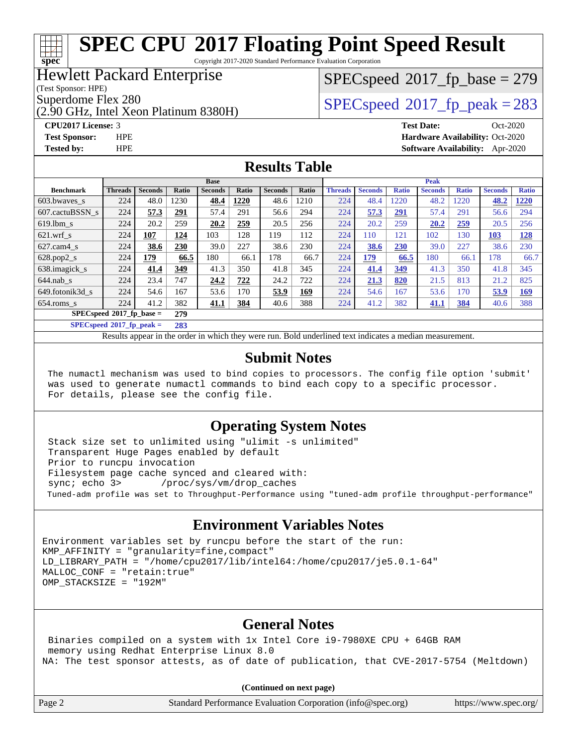Copyright 2017-2020 Standard Performance Evaluation Corporation

## Hewlett Packard Enterprise

(Test Sponsor: HPE)

**[spec](http://www.spec.org/)**

(2.90 GHz, Intel Xeon Platinum 8380H)

 $SPEC speed$ <sup>®</sup> $2017$ \_fp\_base = 279

Superdome Flex 280<br>  $\angle Q$  [SPECspeed](http://www.spec.org/auto/cpu2017/Docs/result-fields.html#SPECspeed2017fppeak)® 2017 fp\_peak = 283

**[CPU2017 License:](http://www.spec.org/auto/cpu2017/Docs/result-fields.html#CPU2017License)** 3 **[Test Date:](http://www.spec.org/auto/cpu2017/Docs/result-fields.html#TestDate)** Oct-2020 **[Test Sponsor:](http://www.spec.org/auto/cpu2017/Docs/result-fields.html#TestSponsor)** HPE **[Hardware Availability:](http://www.spec.org/auto/cpu2017/Docs/result-fields.html#HardwareAvailability)** Oct-2020 **[Tested by:](http://www.spec.org/auto/cpu2017/Docs/result-fields.html#Testedby)** HPE **[Software Availability:](http://www.spec.org/auto/cpu2017/Docs/result-fields.html#SoftwareAvailability)** Apr-2020

## **[Results Table](http://www.spec.org/auto/cpu2017/Docs/result-fields.html#ResultsTable)**

|                             | <b>Base</b>    |                |            |                |       |                | <b>Peak</b> |                |                |              |                |              |                |              |
|-----------------------------|----------------|----------------|------------|----------------|-------|----------------|-------------|----------------|----------------|--------------|----------------|--------------|----------------|--------------|
| <b>Benchmark</b>            | <b>Threads</b> | <b>Seconds</b> | Ratio      | <b>Seconds</b> | Ratio | <b>Seconds</b> | Ratio       | <b>Threads</b> | <b>Seconds</b> | <b>Ratio</b> | <b>Seconds</b> | <b>Ratio</b> | <b>Seconds</b> | <b>Ratio</b> |
| 603.bwayes s                | 224            | 48.0           | 1230       | 48.4           | 1220  | 48.6           | 1210        | 224            | 48.4           | 1220         | 48.2           | 1220         | 48.2           | 1220         |
| 607.cactuBSSN s             | 224            | 57.3           | <u>291</u> | 57.4           | 291   | 56.6           | 294         | 224            | 57.3           | <u>291</u>   | 57.4           | 291          | 56.6           | 294          |
| $619.$ lbm s                | 224            | 20.2           | 259        | 20.2           | 259   | 20.5           | 256         | 224            | 20.2           | 259          | 20.2           | 259          | 20.5           | 256          |
| $621$ .wrf s                | 224            | 107            | 124        | 103            | 128   | 119            | 112         | 224            | 110            | 121          | 102            | 130          | 103            | 128          |
| $627$ .cam $4$ <sub>S</sub> | 224            | 38.6           | 230        | 39.0           | 227   | 38.6           | 230         | 224            | 38.6           | 230          | 39.0           | 227          | 38.6           | 230          |
| $628.pop2_s$                | 224            | 179            | 66.5       | 180            | 66.1  | 178            | 66.7        | 224            | 179            | 66.5         | 180            | 66.1         | 178            | 66.7         |
| 638.imagick_s               | 224            | 41.4           | 349        | 41.3           | 350   | 41.8           | 345         | 224            | 41.4           | 349          | 41.3           | 350          | 41.8           | 345          |
| $644$ .nab s                | 224            | 23.4           | 747        | 24.2           | 722   | 24.2           | 722         | 224            | 21.3           | 820          | 21.5           | 813          | 21.2           | 825          |
| 649.fotonik3d s             | 224            | 54.6           | 167        | 53.6           | 170   | 53.9           | <b>169</b>  | 224            | 54.6           | 167          | 53.6           | 170          | 53.9           | <u>169</u>   |
| $654$ .roms s               | 224            | 41.2           | 382        | 41.1           | 384   | 40.6           | 388         | 224            | 41.2           | 382          | 41.1           | 384          | 40.6           | 388          |
| $SPECspeed*2017_fp\_base =$ |                |                | 279        |                |       |                |             |                |                |              |                |              |                |              |
| $SPECspeed*2017_fp\_peak =$ |                |                | 283        |                |       |                |             |                |                |              |                |              |                |              |

Results appear in the [order in which they were run](http://www.spec.org/auto/cpu2017/Docs/result-fields.html#RunOrder). Bold underlined text [indicates a median measurement](http://www.spec.org/auto/cpu2017/Docs/result-fields.html#Median).

### **[Submit Notes](http://www.spec.org/auto/cpu2017/Docs/result-fields.html#SubmitNotes)**

 The numactl mechanism was used to bind copies to processors. The config file option 'submit' was used to generate numactl commands to bind each copy to a specific processor. For details, please see the config file.

## **[Operating System Notes](http://www.spec.org/auto/cpu2017/Docs/result-fields.html#OperatingSystemNotes)**

 Stack size set to unlimited using "ulimit -s unlimited" Transparent Huge Pages enabled by default Prior to runcpu invocation Filesystem page cache synced and cleared with: sync; echo 3> /proc/sys/vm/drop\_caches Tuned-adm profile was set to Throughput-Performance using "tuned-adm profile throughput-performance"

## **[Environment Variables Notes](http://www.spec.org/auto/cpu2017/Docs/result-fields.html#EnvironmentVariablesNotes)**

Environment variables set by runcpu before the start of the run:  $KMP$  AFFINITY = "granularity=fine, compact" LD\_LIBRARY\_PATH = "/home/cpu2017/lib/intel64:/home/cpu2017/je5.0.1-64" MALLOC\_CONF = "retain:true" OMP\_STACKSIZE = "192M"

## **[General Notes](http://www.spec.org/auto/cpu2017/Docs/result-fields.html#GeneralNotes)**

 Binaries compiled on a system with 1x Intel Core i9-7980XE CPU + 64GB RAM memory using Redhat Enterprise Linux 8.0 NA: The test sponsor attests, as of date of publication, that CVE-2017-5754 (Meltdown)

**(Continued on next page)**

|  | tion (info@spec.org) |  | https://www.spec.org/ |
|--|----------------------|--|-----------------------|
|--|----------------------|--|-----------------------|

Page 2 Standard Performance Evaluation Corpora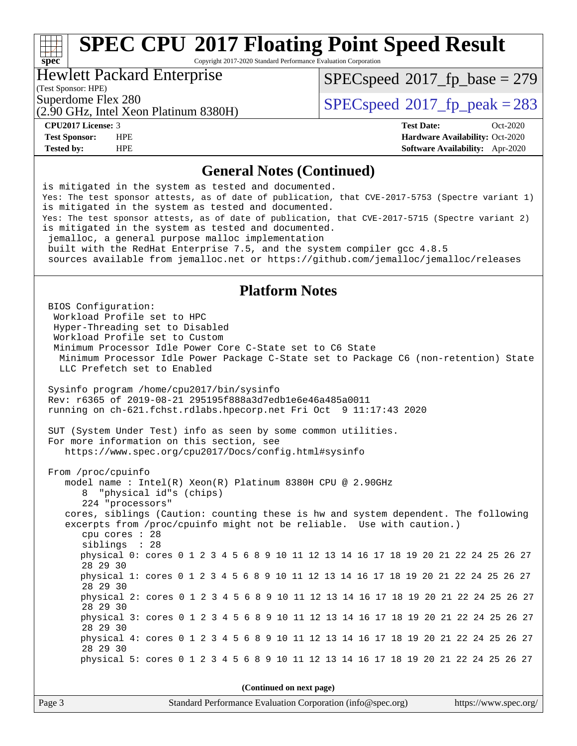Copyright 2017-2020 Standard Performance Evaluation Corporation

### Hewlett Packard Enterprise

(Test Sponsor: HPE)

**[spec](http://www.spec.org/)**

[SPECspeed](http://www.spec.org/auto/cpu2017/Docs/result-fields.html#SPECspeed2017fpbase)<sup>®</sup>2017 fp base = 279

(2.90 GHz, Intel Xeon Platinum 8380H)

Superdome Flex 280<br>  $\log \frac{1}{200}$  [SPECspeed](http://www.spec.org/auto/cpu2017/Docs/result-fields.html#SPECspeed2017fppeak)®[2017\\_fp\\_peak = 2](http://www.spec.org/auto/cpu2017/Docs/result-fields.html#SPECspeed2017fppeak)83

**[CPU2017 License:](http://www.spec.org/auto/cpu2017/Docs/result-fields.html#CPU2017License)** 3 **[Test Date:](http://www.spec.org/auto/cpu2017/Docs/result-fields.html#TestDate)** Oct-2020 **[Test Sponsor:](http://www.spec.org/auto/cpu2017/Docs/result-fields.html#TestSponsor)** HPE **[Hardware Availability:](http://www.spec.org/auto/cpu2017/Docs/result-fields.html#HardwareAvailability)** Oct-2020 **[Tested by:](http://www.spec.org/auto/cpu2017/Docs/result-fields.html#Testedby)** HPE **[Software Availability:](http://www.spec.org/auto/cpu2017/Docs/result-fields.html#SoftwareAvailability)** Apr-2020

## **[General Notes \(Continued\)](http://www.spec.org/auto/cpu2017/Docs/result-fields.html#GeneralNotes)**

is mitigated in the system as tested and documented. Yes: The test sponsor attests, as of date of publication, that CVE-2017-5753 (Spectre variant 1) is mitigated in the system as tested and documented. Yes: The test sponsor attests, as of date of publication, that CVE-2017-5715 (Spectre variant 2) is mitigated in the system as tested and documented. jemalloc, a general purpose malloc implementation built with the RedHat Enterprise 7.5, and the system compiler gcc 4.8.5 sources available from jemalloc.net or<https://github.com/jemalloc/jemalloc/releases> **[Platform Notes](http://www.spec.org/auto/cpu2017/Docs/result-fields.html#PlatformNotes)** BIOS Configuration: Workload Profile set to HPC Hyper-Threading set to Disabled Workload Profile set to Custom Minimum Processor Idle Power Core C-State set to C6 State Minimum Processor Idle Power Package C-State set to Package C6 (non-retention) State LLC Prefetch set to Enabled Sysinfo program /home/cpu2017/bin/sysinfo Rev: r6365 of 2019-08-21 295195f888a3d7edb1e6e46a485a0011 running on ch-621.fchst.rdlabs.hpecorp.net Fri Oct 9 11:17:43 2020 SUT (System Under Test) info as seen by some common utilities. For more information on this section, see <https://www.spec.org/cpu2017/Docs/config.html#sysinfo> From /proc/cpuinfo model name : Intel(R) Xeon(R) Platinum 8380H CPU @ 2.90GHz 8 "physical id"s (chips) 224 "processors" cores, siblings (Caution: counting these is hw and system dependent. The following excerpts from /proc/cpuinfo might not be reliable. Use with caution.) cpu cores : 28 siblings : 28 physical 0: cores 0 1 2 3 4 5 6 8 9 10 11 12 13 14 16 17 18 19 20 21 22 24 25 26 27 28 29 30 physical 1: cores 0 1 2 3 4 5 6 8 9 10 11 12 13 14 16 17 18 19 20 21 22 24 25 26 27 28 29 30 physical 2: cores 0 1 2 3 4 5 6 8 9 10 11 12 13 14 16 17 18 19 20 21 22 24 25 26 27 28 29 30 physical 3: cores 0 1 2 3 4 5 6 8 9 10 11 12 13 14 16 17 18 19 20 21 22 24 25 26 27 28 29 30 physical 4: cores 0 1 2 3 4 5 6 8 9 10 11 12 13 14 16 17 18 19 20 21 22 24 25 26 27 28 29 30 physical 5: cores 0 1 2 3 4 5 6 8 9 10 11 12 13 14 16 17 18 19 20 21 22 24 25 26 27 **(Continued on next page)**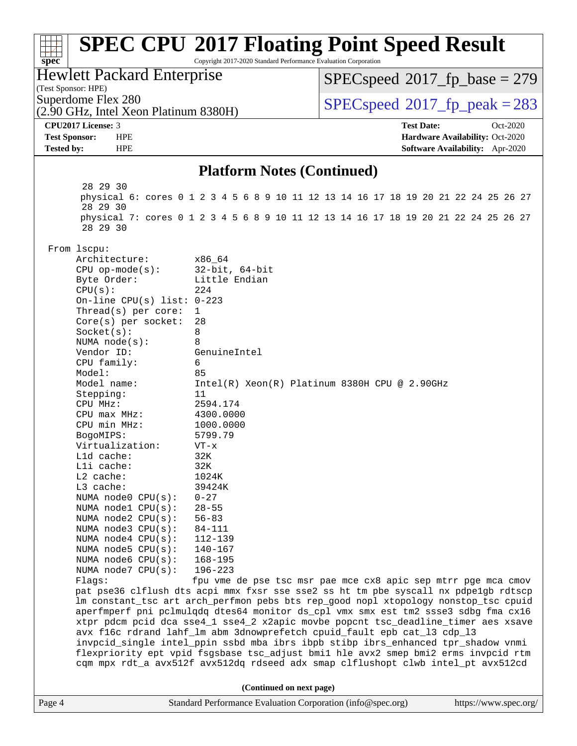#### Page 4 Standard Performance Evaluation Corporation [\(info@spec.org\)](mailto:info@spec.org) <https://www.spec.org/> **[spec](http://www.spec.org/) [SPEC CPU](http://www.spec.org/auto/cpu2017/Docs/result-fields.html#SPECCPU2017FloatingPointSpeedResult)[2017 Floating Point Speed Result](http://www.spec.org/auto/cpu2017/Docs/result-fields.html#SPECCPU2017FloatingPointSpeedResult)** Copyright 2017-2020 Standard Performance Evaluation Corporation (Test Sponsor: HPE) Hewlett Packard Enterprise (2.90 GHz, Intel Xeon Platinum 8380H) Superdome Flex 280<br>  $\log \frac{1}{200}$  [SPECspeed](http://www.spec.org/auto/cpu2017/Docs/result-fields.html#SPECspeed2017fppeak)®[2017\\_fp\\_peak = 2](http://www.spec.org/auto/cpu2017/Docs/result-fields.html#SPECspeed2017fppeak)83 [SPECspeed](http://www.spec.org/auto/cpu2017/Docs/result-fields.html#SPECspeed2017fpbase)<sup>®</sup>2017 fp base = 279 **[CPU2017 License:](http://www.spec.org/auto/cpu2017/Docs/result-fields.html#CPU2017License)** 3 **[Test Date:](http://www.spec.org/auto/cpu2017/Docs/result-fields.html#TestDate)** Oct-2020 **[Test Sponsor:](http://www.spec.org/auto/cpu2017/Docs/result-fields.html#TestSponsor)** HPE **[Hardware Availability:](http://www.spec.org/auto/cpu2017/Docs/result-fields.html#HardwareAvailability)** Oct-2020 **[Tested by:](http://www.spec.org/auto/cpu2017/Docs/result-fields.html#Testedby)** HPE **[Software Availability:](http://www.spec.org/auto/cpu2017/Docs/result-fields.html#SoftwareAvailability)** Apr-2020 **[Platform Notes \(Continued\)](http://www.spec.org/auto/cpu2017/Docs/result-fields.html#PlatformNotes)** 28 29 30 physical 6: cores 0 1 2 3 4 5 6 8 9 10 11 12 13 14 16 17 18 19 20 21 22 24 25 26 27 28 29 30 physical 7: cores 0 1 2 3 4 5 6 8 9 10 11 12 13 14 16 17 18 19 20 21 22 24 25 26 27 28 29 30 From lscpu: Architecture: x86\_64 CPU op-mode(s): 32-bit, 64-bit Byte Order: Little Endian  $CPU(s):$  224 On-line CPU(s) list: 0-223 Thread(s) per core: 1 Core(s) per socket: 28 Socket(s): 8 NUMA node(s): 8 Vendor ID: GenuineIntel CPU family: 6 Model: 85 Model name: Intel(R) Xeon(R) Platinum 8380H CPU @ 2.90GHz Stepping: 11 CPU MHz: 2594.174 CPU max MHz: 4300.0000 CPU min MHz: 1000.0000 BogoMIPS: 5799.79 Virtualization: VT-x L1d cache: 32K L1i cache: 32K L2 cache: 1024K L3 cache: 39424K<br>NUMA node0 CPU(s): 0-27 NUMA  $node0$   $CPU(s):$  NUMA node1 CPU(s): 28-55 NUMA node2 CPU(s): 56-83 NUMA node3 CPU(s): 84-111 NUMA node4 CPU(s): 112-139 NUMA node5 CPU(s): 140-167 NUMA node6 CPU(s): 168-195 NUMA node7 CPU(s): 196-223 Flags: fpu vme de pse tsc msr pae mce cx8 apic sep mtrr pge mca cmov pat pse36 clflush dts acpi mmx fxsr sse sse2 ss ht tm pbe syscall nx pdpe1gb rdtscp lm constant\_tsc art arch\_perfmon pebs bts rep\_good nopl xtopology nonstop\_tsc cpuid aperfmperf pni pclmulqdq dtes64 monitor ds\_cpl vmx smx est tm2 ssse3 sdbg fma cx16 xtpr pdcm pcid dca sse4\_1 sse4\_2 x2apic movbe popcnt tsc\_deadline\_timer aes xsave avx f16c rdrand lahf\_lm abm 3dnowprefetch cpuid\_fault epb cat\_l3 cdp\_l3 invpcid\_single intel\_ppin ssbd mba ibrs ibpb stibp ibrs\_enhanced tpr\_shadow vnmi flexpriority ept vpid fsgsbase tsc\_adjust bmi1 hle avx2 smep bmi2 erms invpcid rtm cqm mpx rdt\_a avx512f avx512dq rdseed adx smap clflushopt clwb intel\_pt avx512cd **(Continued on next page)**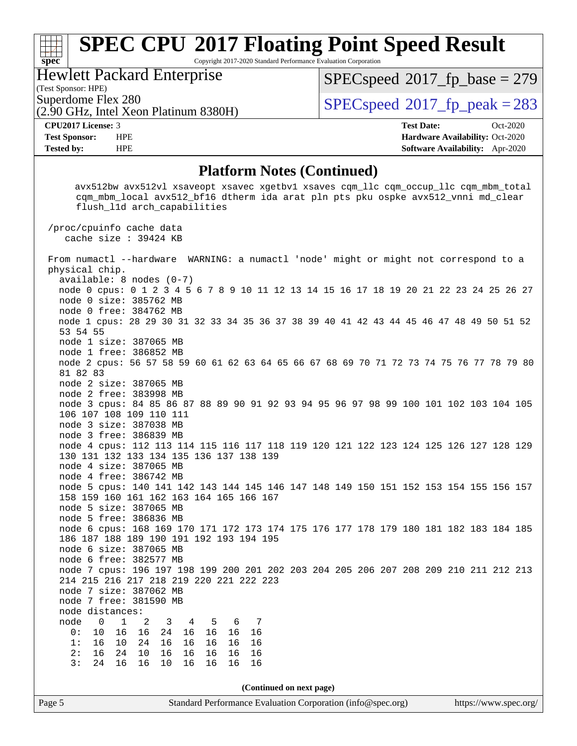Copyright 2017-2020 Standard Performance Evaluation Corporation

Hewlett Packard Enterprise

(2.90 GHz, Intel Xeon Platinum 8380H)

(Test Sponsor: HPE)

**[spec](http://www.spec.org/)**

[SPECspeed](http://www.spec.org/auto/cpu2017/Docs/result-fields.html#SPECspeed2017fpbase)<sup>®</sup>2017 fp base = 279

Superdome Flex 280<br>  $\log \frac{1}{200}$  [SPECspeed](http://www.spec.org/auto/cpu2017/Docs/result-fields.html#SPECspeed2017fppeak)®[2017\\_fp\\_peak = 2](http://www.spec.org/auto/cpu2017/Docs/result-fields.html#SPECspeed2017fppeak)83

**[CPU2017 License:](http://www.spec.org/auto/cpu2017/Docs/result-fields.html#CPU2017License)** 3 **[Test Date:](http://www.spec.org/auto/cpu2017/Docs/result-fields.html#TestDate)** Oct-2020 **[Test Sponsor:](http://www.spec.org/auto/cpu2017/Docs/result-fields.html#TestSponsor)** HPE **[Hardware Availability:](http://www.spec.org/auto/cpu2017/Docs/result-fields.html#HardwareAvailability)** Oct-2020 **[Tested by:](http://www.spec.org/auto/cpu2017/Docs/result-fields.html#Testedby)** HPE **[Software Availability:](http://www.spec.org/auto/cpu2017/Docs/result-fields.html#SoftwareAvailability)** Apr-2020

## **[Platform Notes \(Continued\)](http://www.spec.org/auto/cpu2017/Docs/result-fields.html#PlatformNotes)**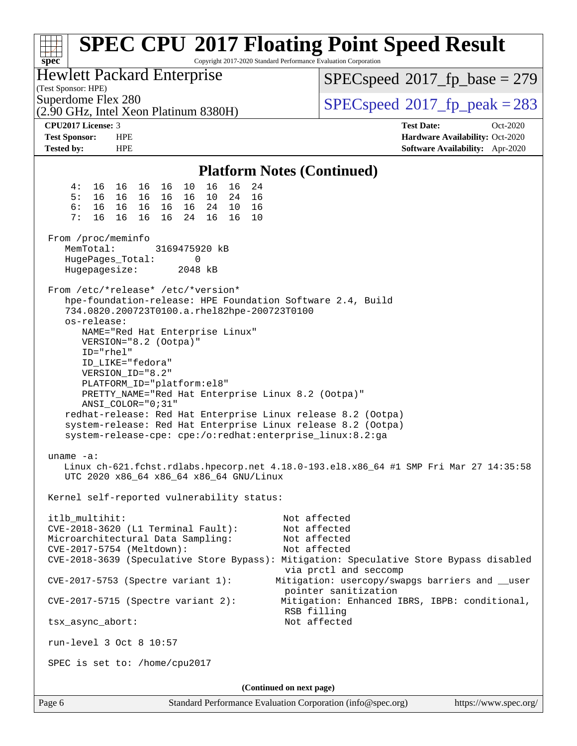| <b>SPEC CPU®2017 Floating Point Speed Result</b><br>TT T<br>Copyright 2017-2020 Standard Performance Evaluation Corporation<br>spec <sup>®</sup>                                                                                                                                                                                                                                                  |                                                                                                     |  |  |  |  |  |
|---------------------------------------------------------------------------------------------------------------------------------------------------------------------------------------------------------------------------------------------------------------------------------------------------------------------------------------------------------------------------------------------------|-----------------------------------------------------------------------------------------------------|--|--|--|--|--|
| Hewlett Packard Enterprise<br>(Test Sponsor: HPE)                                                                                                                                                                                                                                                                                                                                                 | $SPEC speed^{\circ}2017\_fp\_base = 279$                                                            |  |  |  |  |  |
| Superdome Flex 280<br>(2.90 GHz, Intel Xeon Platinum 8380H)                                                                                                                                                                                                                                                                                                                                       | $SPEC speed^{\circ}2017$ fp peak = 283                                                              |  |  |  |  |  |
| <b>CPU2017 License: 3</b><br><b>Test Sponsor:</b><br><b>HPE</b><br><b>Tested by:</b><br><b>HPE</b>                                                                                                                                                                                                                                                                                                | <b>Test Date:</b><br>Oct-2020<br>Hardware Availability: Oct-2020<br>Software Availability: Apr-2020 |  |  |  |  |  |
| <b>Platform Notes (Continued)</b>                                                                                                                                                                                                                                                                                                                                                                 |                                                                                                     |  |  |  |  |  |
| 16<br>4 :<br>16<br>24<br>16 16<br>16 16<br>10                                                                                                                                                                                                                                                                                                                                                     |                                                                                                     |  |  |  |  |  |
| 5:<br>16  16  16  16  16<br>10 24<br>16<br>6:<br>16  16  16  16  16<br>24 10<br>16<br>7:<br>16<br>16 16<br>16 16<br>- 16<br>24<br>10                                                                                                                                                                                                                                                              |                                                                                                     |  |  |  |  |  |
| From /proc/meminfo<br>MemTotal:<br>3169475920 kB<br>HugePages_Total:<br>0<br>2048 kB<br>Hugepagesize:                                                                                                                                                                                                                                                                                             |                                                                                                     |  |  |  |  |  |
| From /etc/*release* /etc/*version*<br>hpe-foundation-release: HPE Foundation Software 2.4, Build<br>734.0820.200723T0100.a.rhel82hpe-200723T0100<br>os-release:<br>NAME="Red Hat Enterprise Linux"<br>VERSION="8.2 (Ootpa)"<br>$ID="rhe1"$<br>ID_LIKE="fedora"<br>VERSION_ID="8.2"<br>PLATFORM_ID="platform:el8"<br>PRETTY_NAME="Red Hat Enterprise Linux 8.2 (Ootpa)"<br>$ANSI\_COLOR = "0; 31"$ |                                                                                                     |  |  |  |  |  |
| system-release: Red Hat Enterprise Linux release 8.2 (Ootpa)<br>system-release-cpe: cpe:/o:redhat:enterprise_linux:8.2:ga<br>uname -a:<br>Linux ch-621.fchst.rdlabs.hpecorp.net 4.18.0-193.el8.x86_64 #1 SMP Fri Mar 27 14:35:58<br>UTC 2020 x86_64 x86_64 x86_64 GNU/Linux                                                                                                                       |                                                                                                     |  |  |  |  |  |
| Kernel self-reported vulnerability status:                                                                                                                                                                                                                                                                                                                                                        |                                                                                                     |  |  |  |  |  |
| itlb multihit:<br>CVE-2018-3620 (L1 Terminal Fault):<br>Microarchitectural Data Sampling:<br>CVE-2017-5754 (Meltdown):<br>CVE-2018-3639 (Speculative Store Bypass): Mitigation: Speculative Store Bypass disabled                                                                                                                                                                                 | Not affected<br>Not affected<br>Not affected<br>Not affected                                        |  |  |  |  |  |
| CVE-2017-5753 (Spectre variant 1):                                                                                                                                                                                                                                                                                                                                                                | via prctl and seccomp<br>Mitigation: usercopy/swapgs barriers and __user<br>pointer sanitization    |  |  |  |  |  |
| $CVE-2017-5715$ (Spectre variant 2):                                                                                                                                                                                                                                                                                                                                                              | Mitigation: Enhanced IBRS, IBPB: conditional,<br>RSB filling                                        |  |  |  |  |  |
| Not affected<br>tsx_async_abort:                                                                                                                                                                                                                                                                                                                                                                  |                                                                                                     |  |  |  |  |  |
| run-level 3 Oct 8 10:57                                                                                                                                                                                                                                                                                                                                                                           |                                                                                                     |  |  |  |  |  |
| SPEC is set to: /home/cpu2017                                                                                                                                                                                                                                                                                                                                                                     |                                                                                                     |  |  |  |  |  |
| (Continued on next page)                                                                                                                                                                                                                                                                                                                                                                          |                                                                                                     |  |  |  |  |  |
| Page 6<br>Standard Performance Evaluation Corporation (info@spec.org)                                                                                                                                                                                                                                                                                                                             | https://www.spec.org/                                                                               |  |  |  |  |  |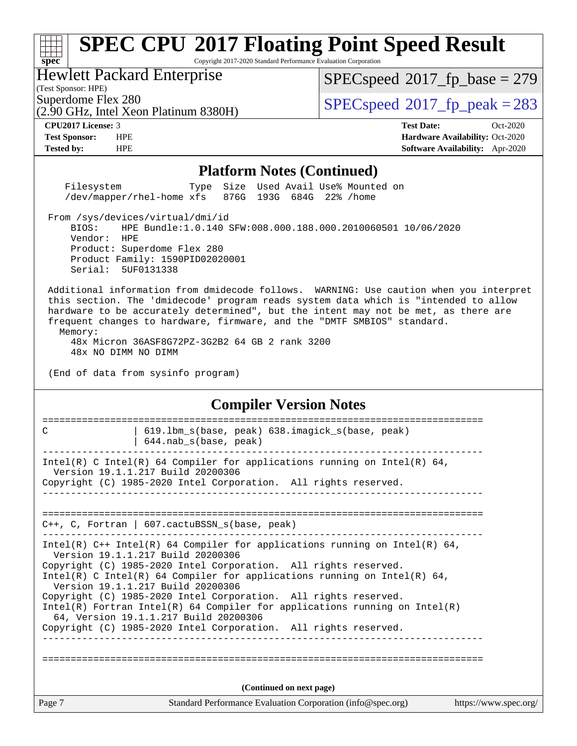Copyright 2017-2020 Standard Performance Evaluation Corporation

## Hewlett Packard Enterprise

(2.90 GHz, Intel Xeon Platinum 8380H)

(Test Sponsor: HPE)

**[spec](http://www.spec.org/)**

 $SPEC speed$ <sup>®</sup> $2017$ \_fp\_base = 279

Superdome Flex 280<br>  $\overline{SPEC}$  [SPECspeed](http://www.spec.org/auto/cpu2017/Docs/result-fields.html#SPECspeed2017fppeak)®[2017\\_fp\\_peak = 2](http://www.spec.org/auto/cpu2017/Docs/result-fields.html#SPECspeed2017fppeak)83

**[CPU2017 License:](http://www.spec.org/auto/cpu2017/Docs/result-fields.html#CPU2017License)** 3 **[Test Date:](http://www.spec.org/auto/cpu2017/Docs/result-fields.html#TestDate)** Oct-2020 **[Test Sponsor:](http://www.spec.org/auto/cpu2017/Docs/result-fields.html#TestSponsor)** HPE **[Hardware Availability:](http://www.spec.org/auto/cpu2017/Docs/result-fields.html#HardwareAvailability)** Oct-2020 **[Tested by:](http://www.spec.org/auto/cpu2017/Docs/result-fields.html#Testedby)** HPE **[Software Availability:](http://www.spec.org/auto/cpu2017/Docs/result-fields.html#SoftwareAvailability)** Apr-2020

#### **[Platform Notes \(Continued\)](http://www.spec.org/auto/cpu2017/Docs/result-fields.html#PlatformNotes)**

 Filesystem Type Size Used Avail Use% Mounted on /dev/mapper/rhel-home xfs 876G 193G 684G 22% /home

From /sys/devices/virtual/dmi/id

 BIOS: HPE Bundle:1.0.140 SFW:008.000.188.000.2010060501 10/06/2020 Vendor: HPE Product: Superdome Flex 280 Product Family: 1590PID02020001 Serial: 5UF0131338

 Additional information from dmidecode follows. WARNING: Use caution when you interpret this section. The 'dmidecode' program reads system data which is "intended to allow hardware to be accurately determined", but the intent may not be met, as there are frequent changes to hardware, firmware, and the "DMTF SMBIOS" standard. Memory:

 48x Micron 36ASF8G72PZ-3G2B2 64 GB 2 rank 3200 48x NO DIMM NO DIMM

(End of data from sysinfo program)

# **[Compiler Version Notes](http://www.spec.org/auto/cpu2017/Docs/result-fields.html#CompilerVersionNotes)**

| C      | 619.1bm_s(base, peak) 638.imagick_s(base, peak)<br>$644.nab_s(base, peak)$                                                                                                                                                                                                                                                                                                                                                                                                                                                                                           |                       |
|--------|----------------------------------------------------------------------------------------------------------------------------------------------------------------------------------------------------------------------------------------------------------------------------------------------------------------------------------------------------------------------------------------------------------------------------------------------------------------------------------------------------------------------------------------------------------------------|-----------------------|
|        | Intel(R) C Intel(R) 64 Compiler for applications running on Intel(R) 64,<br>Version 19.1.1.217 Build 20200306<br>Copyright (C) 1985-2020 Intel Corporation. All rights reserved.                                                                                                                                                                                                                                                                                                                                                                                     |                       |
|        | $C_{++}$ , C, Fortran   607. cactuBSSN s(base, peak)                                                                                                                                                                                                                                                                                                                                                                                                                                                                                                                 |                       |
|        | Intel(R) $C++$ Intel(R) 64 Compiler for applications running on Intel(R) 64,<br>Version 19.1.1.217 Build 20200306<br>Copyright (C) 1985-2020 Intel Corporation. All rights reserved.<br>Intel(R) C Intel(R) 64 Compiler for applications running on Intel(R) 64,<br>Version 19.1.1.217 Build 20200306<br>Copyright (C) 1985-2020 Intel Corporation. All rights reserved.<br>Intel(R) Fortran Intel(R) 64 Compiler for applications running on $Intel(R)$<br>64, Version 19.1.1.217 Build 20200306<br>Copyright (C) 1985-2020 Intel Corporation. All rights reserved. |                       |
|        | (Continued on next page)                                                                                                                                                                                                                                                                                                                                                                                                                                                                                                                                             |                       |
| Page 7 | Standard Performance Evaluation Corporation (info@spec.org)                                                                                                                                                                                                                                                                                                                                                                                                                                                                                                          | https://www.spec.org/ |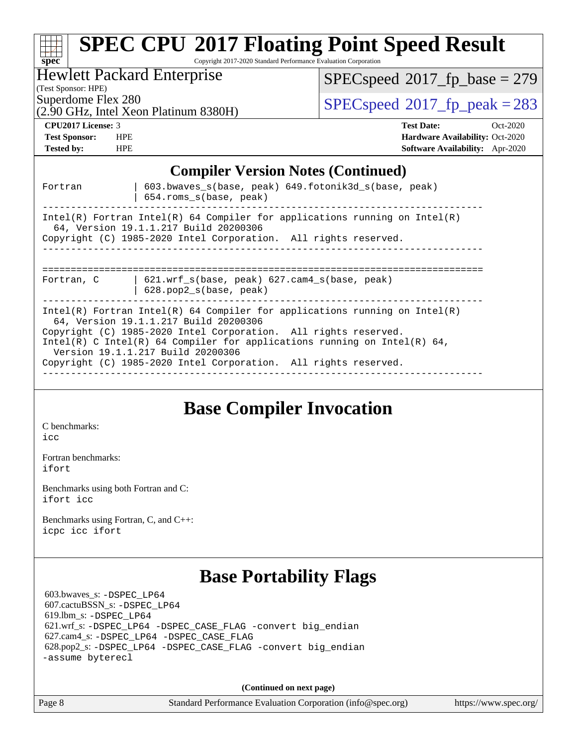| <b>SPEC CPU®2017 Floating Point Speed Result</b><br>$Spec^*$<br>Copyright 2017-2020 Standard Performance Evaluation Corporation                                                                                                                                                                                                                                              |                                                                                                                     |  |  |  |  |
|------------------------------------------------------------------------------------------------------------------------------------------------------------------------------------------------------------------------------------------------------------------------------------------------------------------------------------------------------------------------------|---------------------------------------------------------------------------------------------------------------------|--|--|--|--|
| <b>Hewlett Packard Enterprise</b><br>(Test Sponsor: HPE)                                                                                                                                                                                                                                                                                                                     | $SPEC speed^{\circ}2017\_fp\_base = 279$                                                                            |  |  |  |  |
| Superdome Flex 280<br>(2.90 GHz, Intel Xeon Platinum 8380H)                                                                                                                                                                                                                                                                                                                  | $SPEC speed^{\circ}2017$ _fp_peak = 283                                                                             |  |  |  |  |
| CPU <sub>2017</sub> License: 3<br><b>Test Sponsor:</b><br><b>HPE</b><br><b>HPE</b><br><b>Tested by:</b>                                                                                                                                                                                                                                                                      | <b>Test Date:</b><br>$Oct-2020$<br><b>Hardware Availability: Oct-2020</b><br><b>Software Availability:</b> Apr-2020 |  |  |  |  |
| <b>Compiler Version Notes (Continued)</b>                                                                                                                                                                                                                                                                                                                                    |                                                                                                                     |  |  |  |  |
| 603.bwaves_s(base, peak) 649.fotonik3d_s(base, peak)<br>Fortran<br>654.roms_s(base, peak)                                                                                                                                                                                                                                                                                    |                                                                                                                     |  |  |  |  |
| Intel(R) Fortran Intel(R) 64 Compiler for applications running on $Intel(R)$<br>64, Version 19.1.1.217 Build 20200306<br>Copyright (C) 1985-2020 Intel Corporation. All rights reserved.                                                                                                                                                                                     |                                                                                                                     |  |  |  |  |
| 621.wrf_s(base, peak) 627.cam4_s(base, peak)<br>Fortran, C<br>$628. pop2_s(base, peak)$                                                                                                                                                                                                                                                                                      |                                                                                                                     |  |  |  |  |
| $Intel(R)$ Fortran Intel(R) 64 Compiler for applications running on Intel(R)<br>64, Version 19.1.1.217 Build 20200306<br>Copyright (C) 1985-2020 Intel Corporation. All rights reserved.<br>Intel(R) C Intel(R) 64 Compiler for applications running on Intel(R) 64,<br>Version 19.1.1.217 Build 20200306<br>Copyright (C) 1985-2020 Intel Corporation. All rights reserved. |                                                                                                                     |  |  |  |  |

# **[Base Compiler Invocation](http://www.spec.org/auto/cpu2017/Docs/result-fields.html#BaseCompilerInvocation)**

[C benchmarks](http://www.spec.org/auto/cpu2017/Docs/result-fields.html#Cbenchmarks):

[icc](http://www.spec.org/cpu2017/results/res2020q4/cpu2017-20201012-24153.flags.html#user_CCbase_intel_icc_66fc1ee009f7361af1fbd72ca7dcefbb700085f36577c54f309893dd4ec40d12360134090235512931783d35fd58c0460139e722d5067c5574d8eaf2b3e37e92)

[Fortran benchmarks](http://www.spec.org/auto/cpu2017/Docs/result-fields.html#Fortranbenchmarks): [ifort](http://www.spec.org/cpu2017/results/res2020q4/cpu2017-20201012-24153.flags.html#user_FCbase_intel_ifort_8111460550e3ca792625aed983ce982f94888b8b503583aa7ba2b8303487b4d8a21a13e7191a45c5fd58ff318f48f9492884d4413fa793fd88dd292cad7027ca)

[Benchmarks using both Fortran and C](http://www.spec.org/auto/cpu2017/Docs/result-fields.html#BenchmarksusingbothFortranandC): [ifort](http://www.spec.org/cpu2017/results/res2020q4/cpu2017-20201012-24153.flags.html#user_CC_FCbase_intel_ifort_8111460550e3ca792625aed983ce982f94888b8b503583aa7ba2b8303487b4d8a21a13e7191a45c5fd58ff318f48f9492884d4413fa793fd88dd292cad7027ca) [icc](http://www.spec.org/cpu2017/results/res2020q4/cpu2017-20201012-24153.flags.html#user_CC_FCbase_intel_icc_66fc1ee009f7361af1fbd72ca7dcefbb700085f36577c54f309893dd4ec40d12360134090235512931783d35fd58c0460139e722d5067c5574d8eaf2b3e37e92)

[Benchmarks using Fortran, C, and C++:](http://www.spec.org/auto/cpu2017/Docs/result-fields.html#BenchmarksusingFortranCandCXX) [icpc](http://www.spec.org/cpu2017/results/res2020q4/cpu2017-20201012-24153.flags.html#user_CC_CXX_FCbase_intel_icpc_c510b6838c7f56d33e37e94d029a35b4a7bccf4766a728ee175e80a419847e808290a9b78be685c44ab727ea267ec2f070ec5dc83b407c0218cded6866a35d07) [icc](http://www.spec.org/cpu2017/results/res2020q4/cpu2017-20201012-24153.flags.html#user_CC_CXX_FCbase_intel_icc_66fc1ee009f7361af1fbd72ca7dcefbb700085f36577c54f309893dd4ec40d12360134090235512931783d35fd58c0460139e722d5067c5574d8eaf2b3e37e92) [ifort](http://www.spec.org/cpu2017/results/res2020q4/cpu2017-20201012-24153.flags.html#user_CC_CXX_FCbase_intel_ifort_8111460550e3ca792625aed983ce982f94888b8b503583aa7ba2b8303487b4d8a21a13e7191a45c5fd58ff318f48f9492884d4413fa793fd88dd292cad7027ca)

# **[Base Portability Flags](http://www.spec.org/auto/cpu2017/Docs/result-fields.html#BasePortabilityFlags)**

 603.bwaves\_s: [-DSPEC\\_LP64](http://www.spec.org/cpu2017/results/res2020q4/cpu2017-20201012-24153.flags.html#suite_basePORTABILITY603_bwaves_s_DSPEC_LP64) 607.cactuBSSN\_s: [-DSPEC\\_LP64](http://www.spec.org/cpu2017/results/res2020q4/cpu2017-20201012-24153.flags.html#suite_basePORTABILITY607_cactuBSSN_s_DSPEC_LP64) 619.lbm\_s: [-DSPEC\\_LP64](http://www.spec.org/cpu2017/results/res2020q4/cpu2017-20201012-24153.flags.html#suite_basePORTABILITY619_lbm_s_DSPEC_LP64) 621.wrf\_s: [-DSPEC\\_LP64](http://www.spec.org/cpu2017/results/res2020q4/cpu2017-20201012-24153.flags.html#suite_basePORTABILITY621_wrf_s_DSPEC_LP64) [-DSPEC\\_CASE\\_FLAG](http://www.spec.org/cpu2017/results/res2020q4/cpu2017-20201012-24153.flags.html#b621.wrf_s_baseCPORTABILITY_DSPEC_CASE_FLAG) [-convert big\\_endian](http://www.spec.org/cpu2017/results/res2020q4/cpu2017-20201012-24153.flags.html#user_baseFPORTABILITY621_wrf_s_convert_big_endian_c3194028bc08c63ac5d04de18c48ce6d347e4e562e8892b8bdbdc0214820426deb8554edfa529a3fb25a586e65a3d812c835984020483e7e73212c4d31a38223) 627.cam4\_s: [-DSPEC\\_LP64](http://www.spec.org/cpu2017/results/res2020q4/cpu2017-20201012-24153.flags.html#suite_basePORTABILITY627_cam4_s_DSPEC_LP64) [-DSPEC\\_CASE\\_FLAG](http://www.spec.org/cpu2017/results/res2020q4/cpu2017-20201012-24153.flags.html#b627.cam4_s_baseCPORTABILITY_DSPEC_CASE_FLAG) 628.pop2\_s: [-DSPEC\\_LP64](http://www.spec.org/cpu2017/results/res2020q4/cpu2017-20201012-24153.flags.html#suite_basePORTABILITY628_pop2_s_DSPEC_LP64) [-DSPEC\\_CASE\\_FLAG](http://www.spec.org/cpu2017/results/res2020q4/cpu2017-20201012-24153.flags.html#b628.pop2_s_baseCPORTABILITY_DSPEC_CASE_FLAG) [-convert big\\_endian](http://www.spec.org/cpu2017/results/res2020q4/cpu2017-20201012-24153.flags.html#user_baseFPORTABILITY628_pop2_s_convert_big_endian_c3194028bc08c63ac5d04de18c48ce6d347e4e562e8892b8bdbdc0214820426deb8554edfa529a3fb25a586e65a3d812c835984020483e7e73212c4d31a38223) [-assume byterecl](http://www.spec.org/cpu2017/results/res2020q4/cpu2017-20201012-24153.flags.html#user_baseFPORTABILITY628_pop2_s_assume_byterecl_7e47d18b9513cf18525430bbf0f2177aa9bf368bc7a059c09b2c06a34b53bd3447c950d3f8d6c70e3faf3a05c8557d66a5798b567902e8849adc142926523472)

**(Continued on next page)**

Page 8 Standard Performance Evaluation Corporation [\(info@spec.org\)](mailto:info@spec.org) <https://www.spec.org/>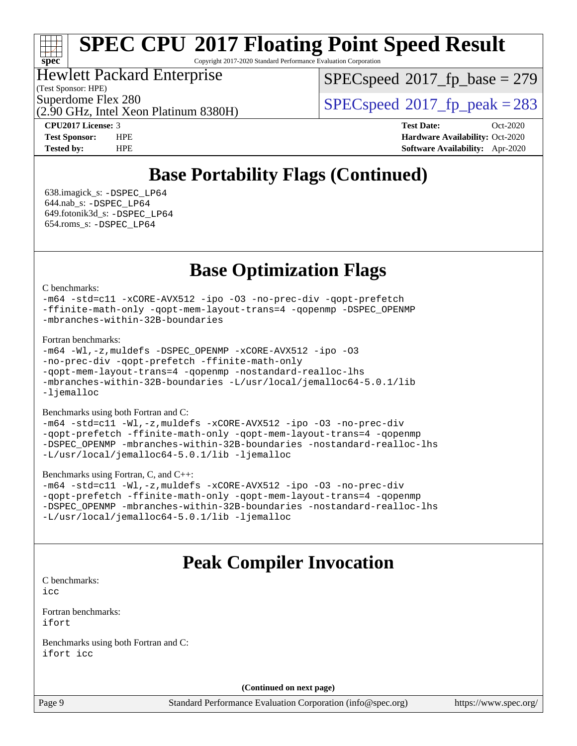Copyright 2017-2020 Standard Performance Evaluation Corporation

## Hewlett Packard Enterprise

(Test Sponsor: HPE)

**[spec](http://www.spec.org/)**

[SPECspeed](http://www.spec.org/auto/cpu2017/Docs/result-fields.html#SPECspeed2017fpbase)<sup>®</sup>2017 fp base = 279

(2.90 GHz, Intel Xeon Platinum 8380H)

Superdome Flex 280<br>  $SPEC speed^{\circ}2017$  fp\_peak = 283

**[CPU2017 License:](http://www.spec.org/auto/cpu2017/Docs/result-fields.html#CPU2017License)** 3 **[Test Date:](http://www.spec.org/auto/cpu2017/Docs/result-fields.html#TestDate)** Oct-2020 **[Test Sponsor:](http://www.spec.org/auto/cpu2017/Docs/result-fields.html#TestSponsor)** HPE **[Hardware Availability:](http://www.spec.org/auto/cpu2017/Docs/result-fields.html#HardwareAvailability)** Oct-2020 **[Tested by:](http://www.spec.org/auto/cpu2017/Docs/result-fields.html#Testedby)** HPE **[Software Availability:](http://www.spec.org/auto/cpu2017/Docs/result-fields.html#SoftwareAvailability)** Apr-2020

# **[Base Portability Flags \(Continued\)](http://www.spec.org/auto/cpu2017/Docs/result-fields.html#BasePortabilityFlags)**

 638.imagick\_s: [-DSPEC\\_LP64](http://www.spec.org/cpu2017/results/res2020q4/cpu2017-20201012-24153.flags.html#suite_basePORTABILITY638_imagick_s_DSPEC_LP64) 644.nab\_s: [-DSPEC\\_LP64](http://www.spec.org/cpu2017/results/res2020q4/cpu2017-20201012-24153.flags.html#suite_basePORTABILITY644_nab_s_DSPEC_LP64) 649.fotonik3d\_s: [-DSPEC\\_LP64](http://www.spec.org/cpu2017/results/res2020q4/cpu2017-20201012-24153.flags.html#suite_basePORTABILITY649_fotonik3d_s_DSPEC_LP64) 654.roms\_s: [-DSPEC\\_LP64](http://www.spec.org/cpu2017/results/res2020q4/cpu2017-20201012-24153.flags.html#suite_basePORTABILITY654_roms_s_DSPEC_LP64)

# **[Base Optimization Flags](http://www.spec.org/auto/cpu2017/Docs/result-fields.html#BaseOptimizationFlags)**

#### [C benchmarks](http://www.spec.org/auto/cpu2017/Docs/result-fields.html#Cbenchmarks):

[-m64](http://www.spec.org/cpu2017/results/res2020q4/cpu2017-20201012-24153.flags.html#user_CCbase_m64-icc) [-std=c11](http://www.spec.org/cpu2017/results/res2020q4/cpu2017-20201012-24153.flags.html#user_CCbase_std-icc-std_0e1c27790398a4642dfca32ffe6c27b5796f9c2d2676156f2e42c9c44eaad0c049b1cdb667a270c34d979996257aeb8fc440bfb01818dbc9357bd9d174cb8524) [-xCORE-AVX512](http://www.spec.org/cpu2017/results/res2020q4/cpu2017-20201012-24153.flags.html#user_CCbase_f-xCORE-AVX512) [-ipo](http://www.spec.org/cpu2017/results/res2020q4/cpu2017-20201012-24153.flags.html#user_CCbase_f-ipo) [-O3](http://www.spec.org/cpu2017/results/res2020q4/cpu2017-20201012-24153.flags.html#user_CCbase_f-O3) [-no-prec-div](http://www.spec.org/cpu2017/results/res2020q4/cpu2017-20201012-24153.flags.html#user_CCbase_f-no-prec-div) [-qopt-prefetch](http://www.spec.org/cpu2017/results/res2020q4/cpu2017-20201012-24153.flags.html#user_CCbase_f-qopt-prefetch) [-ffinite-math-only](http://www.spec.org/cpu2017/results/res2020q4/cpu2017-20201012-24153.flags.html#user_CCbase_f_finite_math_only_cb91587bd2077682c4b38af759c288ed7c732db004271a9512da14a4f8007909a5f1427ecbf1a0fb78ff2a814402c6114ac565ca162485bbcae155b5e4258871) [-qopt-mem-layout-trans=4](http://www.spec.org/cpu2017/results/res2020q4/cpu2017-20201012-24153.flags.html#user_CCbase_f-qopt-mem-layout-trans_fa39e755916c150a61361b7846f310bcdf6f04e385ef281cadf3647acec3f0ae266d1a1d22d972a7087a248fd4e6ca390a3634700869573d231a252c784941a8) [-qopenmp](http://www.spec.org/cpu2017/results/res2020q4/cpu2017-20201012-24153.flags.html#user_CCbase_qopenmp_16be0c44f24f464004c6784a7acb94aca937f053568ce72f94b139a11c7c168634a55f6653758ddd83bcf7b8463e8028bb0b48b77bcddc6b78d5d95bb1df2967) [-DSPEC\\_OPENMP](http://www.spec.org/cpu2017/results/res2020q4/cpu2017-20201012-24153.flags.html#suite_CCbase_DSPEC_OPENMP) [-mbranches-within-32B-boundaries](http://www.spec.org/cpu2017/results/res2020q4/cpu2017-20201012-24153.flags.html#user_CCbase_f-mbranches-within-32B-boundaries)

#### [Fortran benchmarks](http://www.spec.org/auto/cpu2017/Docs/result-fields.html#Fortranbenchmarks):

```
-m64 -Wl,-z,muldefs -DSPEC_OPENMP -xCORE-AVX512 -ipo -O3
-no-prec-div -qopt-prefetch -ffinite-math-only
-qopt-mem-layout-trans=4 -qopenmp -nostandard-realloc-lhs
-mbranches-within-32B-boundaries -L/usr/local/jemalloc64-5.0.1/lib
-ljemalloc
```
#### [Benchmarks using both Fortran and C](http://www.spec.org/auto/cpu2017/Docs/result-fields.html#BenchmarksusingbothFortranandC):

```
-m64 -std=c11 -Wl,-z,muldefs -xCORE-AVX512 -ipo -O3 -no-prec-div
-qopt-prefetch -ffinite-math-only -qopt-mem-layout-trans=4 -qopenmp
-DSPEC_OPENMP -mbranches-within-32B-boundaries -nostandard-realloc-lhs
-L/usr/local/jemalloc64-5.0.1/lib -ljemalloc
```
#### [Benchmarks using Fortran, C, and C++:](http://www.spec.org/auto/cpu2017/Docs/result-fields.html#BenchmarksusingFortranCandCXX)

```
-m64 -std=c11 -Wl,-z,muldefs -xCORE-AVX512 -ipo -O3 -no-prec-div
-qopt-prefetch -ffinite-math-only -qopt-mem-layout-trans=4 -qopenmp
-DSPEC_OPENMP -mbranches-within-32B-boundaries -nostandard-realloc-lhs
-L/usr/local/jemalloc64-5.0.1/lib -ljemalloc
```
# **[Peak Compiler Invocation](http://www.spec.org/auto/cpu2017/Docs/result-fields.html#PeakCompilerInvocation)**

[C benchmarks](http://www.spec.org/auto/cpu2017/Docs/result-fields.html#Cbenchmarks):

[icc](http://www.spec.org/cpu2017/results/res2020q4/cpu2017-20201012-24153.flags.html#user_CCpeak_intel_icc_66fc1ee009f7361af1fbd72ca7dcefbb700085f36577c54f309893dd4ec40d12360134090235512931783d35fd58c0460139e722d5067c5574d8eaf2b3e37e92)

[Fortran benchmarks](http://www.spec.org/auto/cpu2017/Docs/result-fields.html#Fortranbenchmarks): [ifort](http://www.spec.org/cpu2017/results/res2020q4/cpu2017-20201012-24153.flags.html#user_FCpeak_intel_ifort_8111460550e3ca792625aed983ce982f94888b8b503583aa7ba2b8303487b4d8a21a13e7191a45c5fd58ff318f48f9492884d4413fa793fd88dd292cad7027ca)

[Benchmarks using both Fortran and C](http://www.spec.org/auto/cpu2017/Docs/result-fields.html#BenchmarksusingbothFortranandC): [ifort](http://www.spec.org/cpu2017/results/res2020q4/cpu2017-20201012-24153.flags.html#user_CC_FCpeak_intel_ifort_8111460550e3ca792625aed983ce982f94888b8b503583aa7ba2b8303487b4d8a21a13e7191a45c5fd58ff318f48f9492884d4413fa793fd88dd292cad7027ca) [icc](http://www.spec.org/cpu2017/results/res2020q4/cpu2017-20201012-24153.flags.html#user_CC_FCpeak_intel_icc_66fc1ee009f7361af1fbd72ca7dcefbb700085f36577c54f309893dd4ec40d12360134090235512931783d35fd58c0460139e722d5067c5574d8eaf2b3e37e92)

**(Continued on next page)**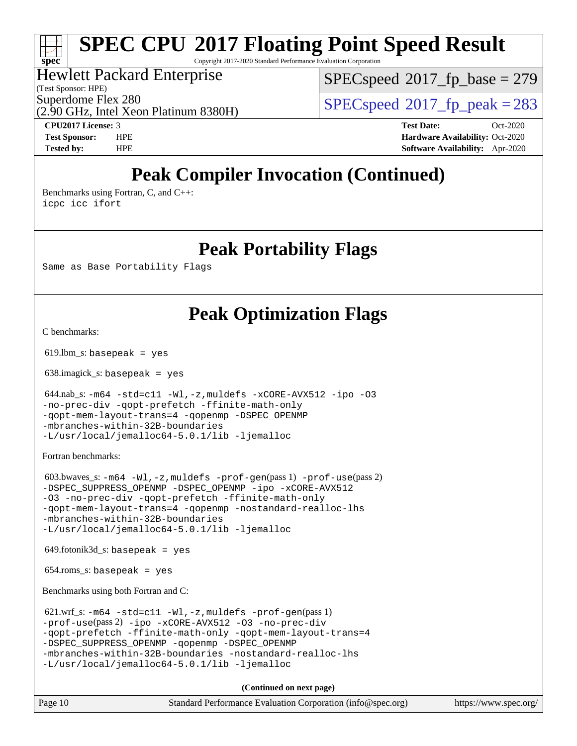Copyright 2017-2020 Standard Performance Evaluation Corporation

## Hewlett Packard Enterprise

(2.90 GHz, Intel Xeon Platinum 8380H)

(Test Sponsor: HPE)

**[spec](http://www.spec.org/)**

[SPECspeed](http://www.spec.org/auto/cpu2017/Docs/result-fields.html#SPECspeed2017fpbase)<sup>®</sup>2017 fp base = 279

Superdome Flex 280<br>  $SPEC speed^{\circ}2017$  fp\_peak = 283

**[CPU2017 License:](http://www.spec.org/auto/cpu2017/Docs/result-fields.html#CPU2017License)** 3 **[Test Date:](http://www.spec.org/auto/cpu2017/Docs/result-fields.html#TestDate)** Oct-2020 **[Test Sponsor:](http://www.spec.org/auto/cpu2017/Docs/result-fields.html#TestSponsor)** HPE **[Hardware Availability:](http://www.spec.org/auto/cpu2017/Docs/result-fields.html#HardwareAvailability)** Oct-2020 **[Tested by:](http://www.spec.org/auto/cpu2017/Docs/result-fields.html#Testedby)** HPE **[Software Availability:](http://www.spec.org/auto/cpu2017/Docs/result-fields.html#SoftwareAvailability)** Apr-2020

# **[Peak Compiler Invocation \(Continued\)](http://www.spec.org/auto/cpu2017/Docs/result-fields.html#PeakCompilerInvocation)**

[Benchmarks using Fortran, C, and C++:](http://www.spec.org/auto/cpu2017/Docs/result-fields.html#BenchmarksusingFortranCandCXX) [icpc](http://www.spec.org/cpu2017/results/res2020q4/cpu2017-20201012-24153.flags.html#user_CC_CXX_FCpeak_intel_icpc_c510b6838c7f56d33e37e94d029a35b4a7bccf4766a728ee175e80a419847e808290a9b78be685c44ab727ea267ec2f070ec5dc83b407c0218cded6866a35d07) [icc](http://www.spec.org/cpu2017/results/res2020q4/cpu2017-20201012-24153.flags.html#user_CC_CXX_FCpeak_intel_icc_66fc1ee009f7361af1fbd72ca7dcefbb700085f36577c54f309893dd4ec40d12360134090235512931783d35fd58c0460139e722d5067c5574d8eaf2b3e37e92) [ifort](http://www.spec.org/cpu2017/results/res2020q4/cpu2017-20201012-24153.flags.html#user_CC_CXX_FCpeak_intel_ifort_8111460550e3ca792625aed983ce982f94888b8b503583aa7ba2b8303487b4d8a21a13e7191a45c5fd58ff318f48f9492884d4413fa793fd88dd292cad7027ca)

# **[Peak Portability Flags](http://www.spec.org/auto/cpu2017/Docs/result-fields.html#PeakPortabilityFlags)**

Same as Base Portability Flags

# **[Peak Optimization Flags](http://www.spec.org/auto/cpu2017/Docs/result-fields.html#PeakOptimizationFlags)**

[C benchmarks](http://www.spec.org/auto/cpu2017/Docs/result-fields.html#Cbenchmarks):

 $619.$ lbm\_s: basepeak = yes

638.imagick\_s: basepeak = yes

```
-m64 -std = c11 -W1, -z,muldefs -xCORE-AVX512-ipo -03-no-prec-div -qopt-prefetch -ffinite-math-only
-qopt-mem-layout-trans=4 -qopenmp -DSPEC_OPENMP
-mbranches-within-32B-boundaries
-L/usr/local/jemalloc64-5.0.1/lib -ljemalloc
```
[Fortran benchmarks](http://www.spec.org/auto/cpu2017/Docs/result-fields.html#Fortranbenchmarks):

```
603.bwaves -m64 -W1, -z, muldefs -prof-use(pass 2)-DSPEC_SUPPRESS_OPENMP -DSPEC_OPENMP -ipo -xCORE-AVX512
-O3 -no-prec-div -qopt-prefetch -ffinite-math-only
-qopt-mem-layout-trans=4 -qopenmp -nostandard-realloc-lhs
-mbranches-within-32B-boundaries
-L/usr/local/jemalloc64-5.0.1/lib -ljemalloc
```
 $649.$ fotonik $3d$ <sub>-</sub>s: basepeak = yes

654.roms\_s: basepeak = yes

[Benchmarks using both Fortran and C](http://www.spec.org/auto/cpu2017/Docs/result-fields.html#BenchmarksusingbothFortranandC):

```
 621.wrf_s: -m64 -std=c11 -Wl,-z,muldefs -prof-gen(pass 1)
-prof-use(pass 2) -ipo -xCORE-AVX512 -O3 -no-prec-div
-qopt-prefetch -ffinite-math-only -qopt-mem-layout-trans=4
-qopenmp -DSPEC OPENMP
-mbranches-within-32B-boundaries -nostandard-realloc-lhs
-L/usr/local/jemalloc64-5.0.1/lib -ljemalloc
```
**(Continued on next page)**